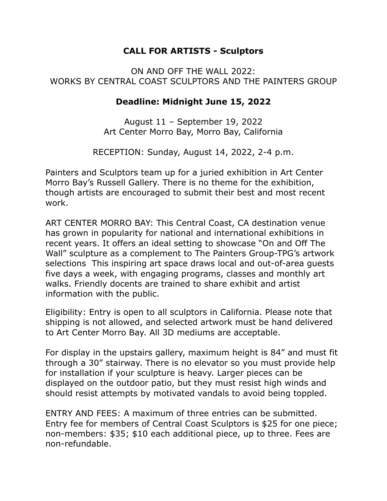## **CALL FOR ARTISTS - Sculptors**

## ON AND OFF THE WALL 2022: WORKS BY CENTRAL COAST SCULPTORS AND THE PAINTERS GROUP

## **Deadline: Midnight June 15, 2022**

August 11 – September 19, 2022 Art Center Morro Bay, Morro Bay, California

RECEPTION: Sunday, August 14, 2022, 2-4 p.m.

Painters and Sculptors team up for a juried exhibition in Art Center Morro Bay's Russell Gallery. There is no theme for the exhibition, though artists are encouraged to submit their best and most recent work.

ART CENTER MORRO BAY: This Central Coast, CA destination venue has grown in popularity for national and international exhibitions in recent years. It offers an ideal setting to showcase "On and Off The Wall" sculpture as a complement to The Painters Group-TPG's artwork selections This inspiring art space draws local and out-of-area guests five days a week, with engaging programs, classes and monthly art walks. Friendly docents are trained to share exhibit and artist information with the public.

Eligibility: Entry is open to all sculptors in California. Please note that shipping is not allowed, and selected artwork must be hand delivered to Art Center Morro Bay. All 3D mediums are acceptable.

For display in the upstairs gallery, maximum height is 84" and must fit through a 30" stairway. There is no elevator so you must provide help for installation if your sculpture is heavy. Larger pieces can be displayed on the outdoor patio, but they must resist high winds and should resist attempts by motivated vandals to avoid being toppled.

ENTRY AND FEES: A maximum of three entries can be submitted. Entry fee for members of Central Coast Sculptors is \$25 for one piece; non-members: \$35; \$10 each additional piece, up to three. Fees are non-refundable.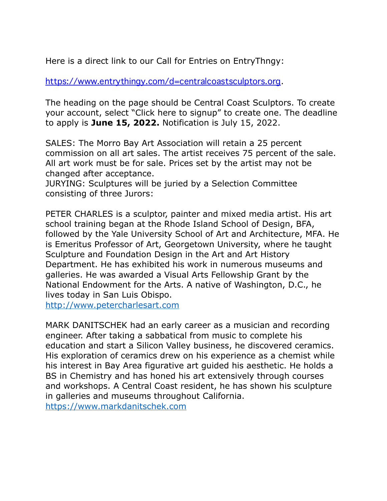Here is a direct link to our Call for Entries on EntryThngy:

<https://www.entrythingy.com/d=centralcoastsculptors.org>.

The heading on the page should be Central Coast Sculptors. To create your account, select "Click here to signup" to create one. The deadline to apply is **June 15, 2022.** Notification is July 15, 2022.

SALES: The Morro Bay Art Association will retain a 25 percent commission on all art sales. The artist receives 75 percent of the sale. All art work must be for sale. Prices set by the artist may not be changed after acceptance.

JURYING: Sculptures will be juried by a Selection Committee consisting of three Jurors:

PETER CHARLES is a sculptor, painter and mixed media artist. His art school training began at the Rhode Island School of Design, BFA, followed by the Yale University School of Art and Architecture, MFA. He is Emeritus Professor of Art, Georgetown University, where he taught Sculpture and Foundation Design in the Art and Art History Department. He has exhibited his work in numerous museums and galleries. He was awarded a Visual Arts Fellowship Grant by the National Endowment for the Arts. A native of Washington, D.C., he lives today in San Luis Obispo.

[http://www.petercharlesart.com](http://www.petercharlesart.com/)

MARK DANITSCHEK had an early career as a musician and recording engineer. After taking a sabbatical from music to complete his education and start a Silicon Valley business, he discovered ceramics. His exploration of ceramics drew on his experience as a chemist while his interest in Bay Area figurative art guided his aesthetic. He holds a BS in Chemistry and has honed his art extensively through courses and workshops. A Central Coast resident, he has shown his sculpture in galleries and museums throughout California. [https://www.markdanitschek.com](https://www.markdanitschek.com/)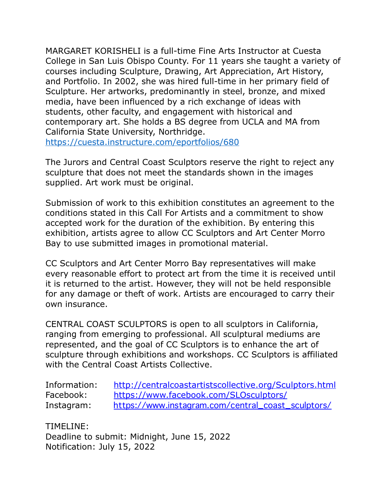MARGARET KORISHELI is a full-time Fine Arts Instructor at Cuesta College in San Luis Obispo County. For 11 years she taught a variety of courses including Sculpture, Drawing, Art Appreciation, Art History, and Portfolio. In 2002, she was hired full-time in her primary field of Sculpture. Her artworks, predominantly in steel, bronze, and mixed media, have been influenced by a rich exchange of ideas with students, other faculty, and engagement with historical and contemporary art. She holds a BS degree from UCLA and MA from California State University, Northridge.

<https://cuesta.instructure.com/eportfolios/680>

The Jurors and Central Coast Sculptors reserve the right to reject any sculpture that does not meet the standards shown in the images supplied. Art work must be original.

Submission of work to this exhibition constitutes an agreement to the conditions stated in this Call For Artists and a commitment to show accepted work for the duration of the exhibition. By entering this exhibition, artists agree to allow CC Sculptors and Art Center Morro Bay to use submitted images in promotional material.

CC Sculptors and Art Center Morro Bay representatives will make every reasonable effort to protect art from the time it is received until it is returned to the artist. However, they will not be held responsible for any damage or theft of work. Artists are encouraged to carry their own insurance.

CENTRAL COAST SCULPTORS is open to all sculptors in California, ranging from emerging to professional. All sculptural mediums are represented, and the goal of CC Sculptors is to enhance the art of sculpture through exhibitions and workshops. CC Sculptors is affiliated with the Central Coast Artists Collective.

| Information: | http://centralcoastartistscollective.org/Sculptors.html |
|--------------|---------------------------------------------------------|
| Facebook:    | https://www.facebook.com/SLOsculptors/                  |
| Instagram:   | https://www.instagram.com/central_coast_sculptors/      |

TIMELINE: Deadline to submit: Midnight, June 15, 2022 Notification: July 15, 2022